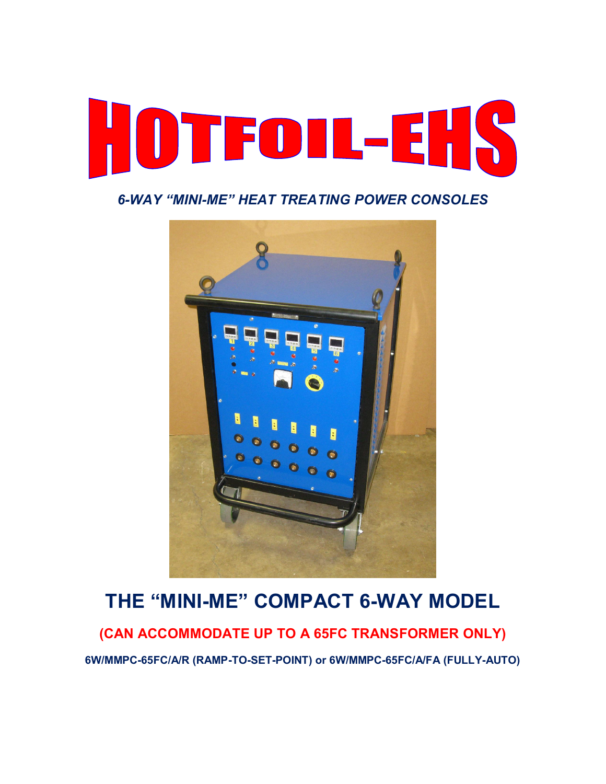

### *6-WAY "MINI-ME" HEAT TREATING POWER CONSOLES*



# **THE "MINI-ME" COMPACT 6-WAY MODEL**

**(CAN ACCOMMODATE UP TO A 65FC TRANSFORMER ONLY)** 

**6W/MMPC-65FC/A/R (RAMP-TO-SET-POINT) or 6W/MMPC-65FC/A/FA (FULLY-AUTO)**